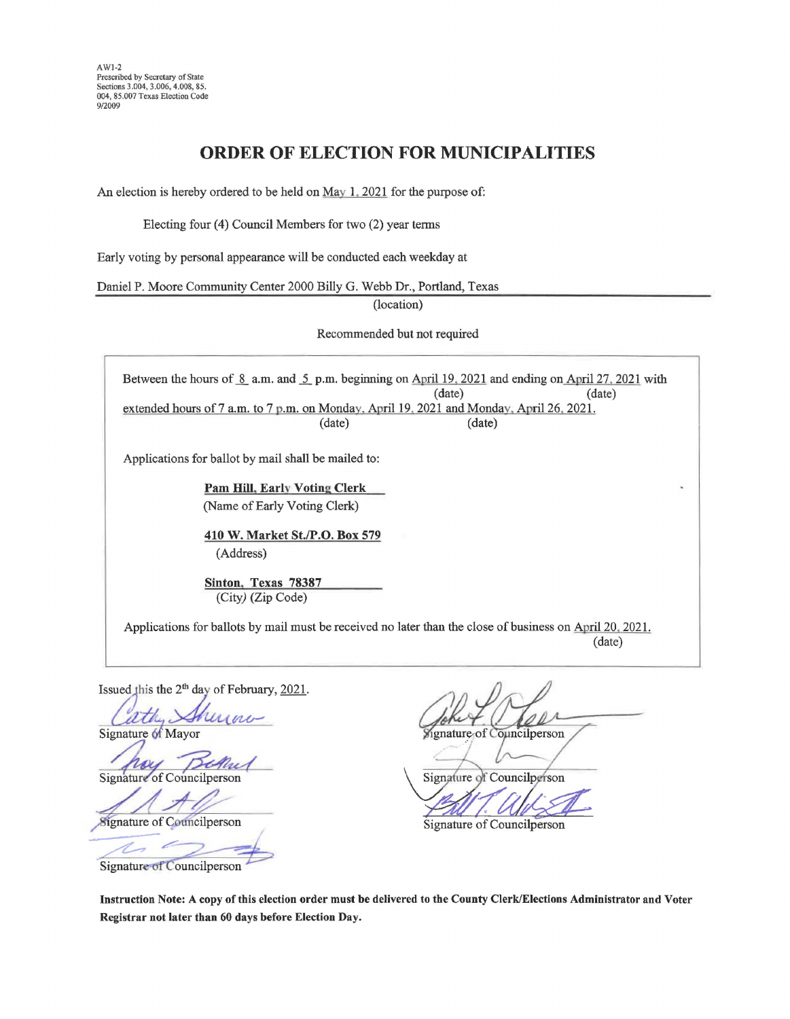## **ORDER OF ELECTION FOR MUNICIPALITIES**

An election is hereby ordered to be held on May 1, 2021 for the purpose of:

Electing four (4) Council Members for two (2) year terms

Early voting by personal appearance will be conducted each weekday at

Daniel P. Moore Community Center 2000 Billy G. Webb Dr., Portland, Texas

(location)

Recommended but not required

Between the hours of  $\frac{8}{5}$  a.m. and  $\frac{5}{5}$  p.m. beginning on April 19, 2021 and ending on April 27, 2021 with (date) (date) (date) (date) extended hours of7 a.m. to 7 p.m. on Monday. April 19, 2021 and Monday, April 26. 2021. (date) (date)

Applications for ballot by mail shall be mailed to:

**Pam Hill. Early Voting Clerk** (Name of Early Voting Clerk)

**410 W. Market St./P.O. Box 579**  (Address)

**Sinton. Texas 78387**  (City) (Zip Code)

Applications for ballots by mail must be received no later than the close of business on April 20, 2021. (date)

Issued this the  $2<sup>th</sup>$  day of February, 2021.

ath, *Shuraw* 

Mayor<br>Councilperson Signature of

 $A\mathscr{D}$ 

Signature of Councilperson Signature of Councilperson

Signature of Councilperson

ignature of Councilperson

Signature of Councilperson

**Instruction Note: A copy of this election order must be delivered to the County Clerk/Elections Administrator and Voter Registrar not later than 60 days before Election Day.**